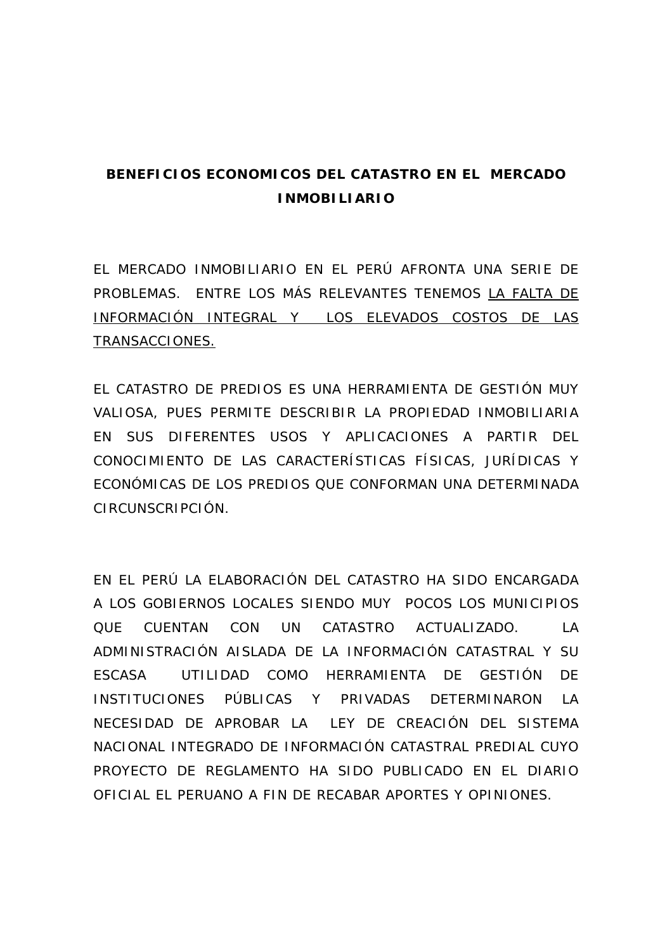## **BENEFICIOS ECONOMICOS DEL CATASTRO EN EL MERCADO INMOBILIARIO**

EL MERCADO INMOBILIARIO EN EL PERÚ AFRONTA UNA SERIE DE PROBLEMAS. ENTRE LOS MÁS RELEVANTES TENEMOS LA FALTA DE INFORMACIÓN INTEGRAL Y LOS ELEVADOS COSTOS DE LAS TRANSACCIONES.

EL CATASTRO DE PREDIOS ES UNA HERRAMIENTA DE GESTIÓN MUY VALIOSA, PUES PERMITE DESCRIBIR LA PROPIEDAD INMOBILIARIA EN SUS DIFERENTES USOS Y APLICACIONES A PARTIR DEL CONOCIMIENTO DE LAS CARACTERÍSTICAS FÍSICAS, JURÍDICAS Y ECONÓMICAS DE LOS PREDIOS QUE CONFORMAN UNA DETERMINADA CIRCUNSCRIPCIÓN.

EN EL PERÚ LA ELABORACIÓN DEL CATASTRO HA SIDO ENCARGADA A LOS GOBIERNOS LOCALES SIENDO MUY POCOS LOS MUNICIPIOS QUE CUENTAN CON UN CATASTRO ACTUALIZADO. LA ADMINISTRACIÓN AISLADA DE LA INFORMACIÓN CATASTRAL Y SU ESCASA UTILIDAD COMO HERRAMIENTA DE GESTIÓN DE INSTITUCIONES PÚBLICAS Y PRIVADAS DETERMINARON LA NECESIDAD DE APROBAR LA LEY DE CREACIÓN DEL SISTEMA NACIONAL INTEGRADO DE INFORMACIÓN CATASTRAL PREDIAL CUYO PROYECTO DE REGLAMENTO HA SIDO PUBLICADO EN EL DIARIO OFICIAL EL PERUANO A FIN DE RECABAR APORTES Y OPINIONES.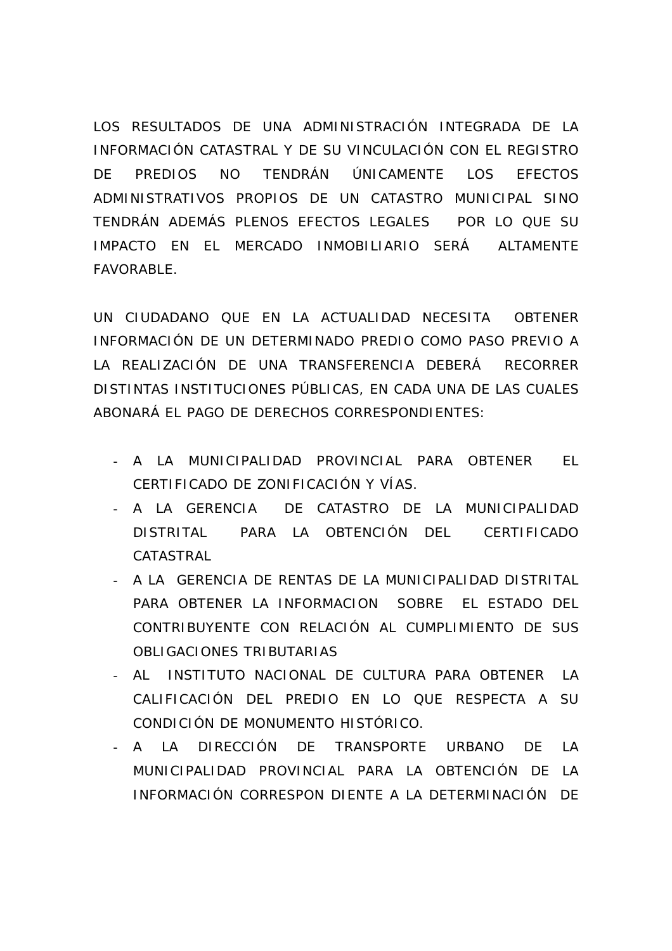LOS RESULTADOS DE UNA ADMINISTRACIÓN INTEGRADA DE LA INFORMACIÓN CATASTRAL Y DE SU VINCULACIÓN CON EL REGISTRO DE PREDIOS NO TENDRÁN ÚNICAMENTE LOS EFECTOS ADMINISTRATIVOS PROPIOS DE UN CATASTRO MUNICIPAL SINO TENDRÁN ADEMÁS PLENOS EFECTOS LEGALES POR LO QUE SU IMPACTO EN EL MERCADO INMOBILIARIO SERÁ ALTAMENTE FAVORABLE.

UN CIUDADANO QUE EN LA ACTUALIDAD NECESITA OBTENER INFORMACIÓN DE UN DETERMINADO PREDIO COMO PASO PREVIO A LA REALIZACIÓN DE UNA TRANSFERENCIA DEBERÁ RECORRER DISTINTAS INSTITUCIONES PÚBLICAS, EN CADA UNA DE LAS CUALES ABONARÁ EL PAGO DE DERECHOS CORRESPONDIENTES:

- A LA MUNICIPALIDAD PROVINCIAL PARA OBTENER EL CERTIFICADO DE ZONIFICACIÓN Y VÍAS.
- A LA GERENCIA DE CATASTRO DE LA MUNICIPALIDAD DISTRITAL PARA LA OBTENCIÓN DEL CERTIFICADO CATASTRAL
- A LA GERENCIA DE RENTAS DE LA MUNICIPALIDAD DISTRITAL PARA OBTENER LA INFORMACION SOBRE EL ESTADO DEL CONTRIBUYENTE CON RELACIÓN AL CUMPLIMIENTO DE SUS OBLIGACIONES TRIBUTARIAS
- AL INSTITUTO NACIONAL DE CULTURA PARA OBTENER LA CALIFICACIÓN DEL PREDIO EN LO QUE RESPECTA A SU CONDICIÓN DE MONUMENTO HISTÓRICO.
- A LA DIRECCIÓN DE TRANSPORTE URBANO DE LA MUNICIPALIDAD PROVINCIAL PARA LA OBTENCIÓN DE LA INFORMACIÓN CORRESPON DIENTE A LA DETERMINACIÓN DE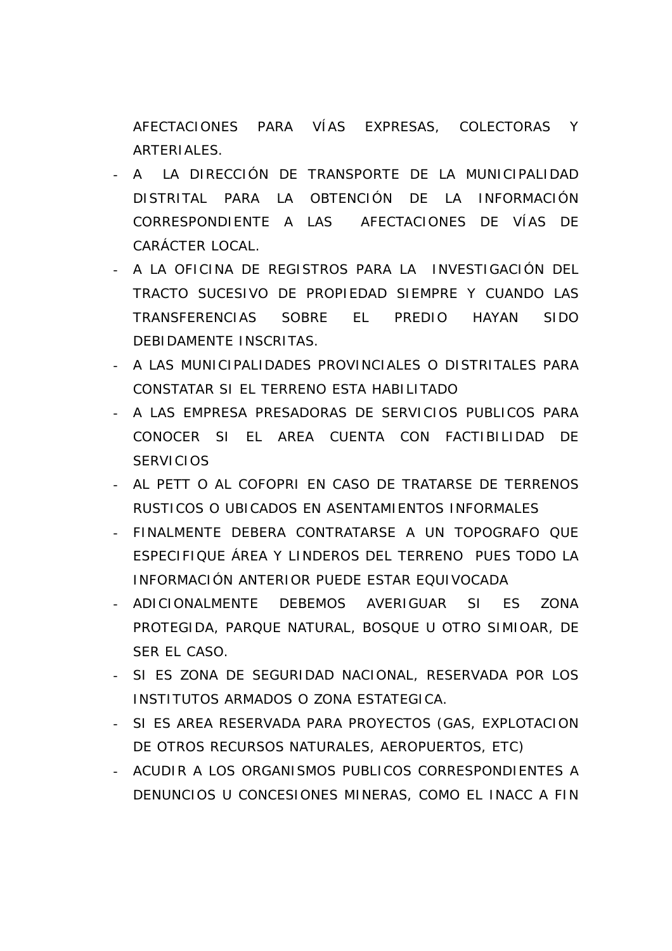AFECTACIONES PARA VÍAS EXPRESAS, COLECTORAS Y ARTERIALES.

- A LA DIRECCIÓN DE TRANSPORTE DE LA MUNICIPALIDAD DISTRITAL PARA LA OBTENCIÓN DE LA INFORMACIÓN CORRESPONDIENTE A LAS AFECTACIONES DE VÍAS DE CARÁCTER LOCAL.
- A LA OFICINA DE REGISTROS PARA LA INVESTIGACIÓN DEL TRACTO SUCESIVO DE PROPIEDAD SIEMPRE Y CUANDO LAS TRANSFERENCIAS SOBRE EL PREDIO HAYAN SIDO DEBIDAMENTE INSCRITAS.
- A LAS MUNICIPALIDADES PROVINCIALES O DISTRITALES PARA CONSTATAR SI EL TERRENO ESTA HABILITADO
- A LAS EMPRESA PRESADORAS DE SERVICIOS PUBLICOS PARA CONOCER SI EL AREA CUENTA CON FACTIBILIDAD DE **SERVICIOS**
- AL PETT O AL COFOPRI EN CASO DE TRATARSE DE TERRENOS RUSTICOS O UBICADOS EN ASENTAMIENTOS INFORMALES
- FINALMENTE DEBERA CONTRATARSE A UN TOPOGRAFO QUE ESPECIFIQUE ÁREA Y LINDEROS DEL TERRENO PUES TODO LA INFORMACIÓN ANTERIOR PUEDE ESTAR EQUIVOCADA
- ADICIONALMENTE DEBEMOS AVERIGUAR SI ES ZONA PROTEGIDA, PARQUE NATURAL, BOSQUE U OTRO SIMIOAR, DE SER EL CASO.
- SI ES ZONA DE SEGURIDAD NACIONAL, RESERVADA POR LOS INSTITUTOS ARMADOS O ZONA ESTATEGICA.
- SI ES AREA RESERVADA PARA PROYECTOS (GAS, EXPLOTACION DE OTROS RECURSOS NATURALES, AEROPUERTOS, ETC)
- ACUDIR A LOS ORGANISMOS PUBLICOS CORRESPONDIENTES A DENUNCIOS U CONCESIONES MINERAS, COMO EL INACC A FIN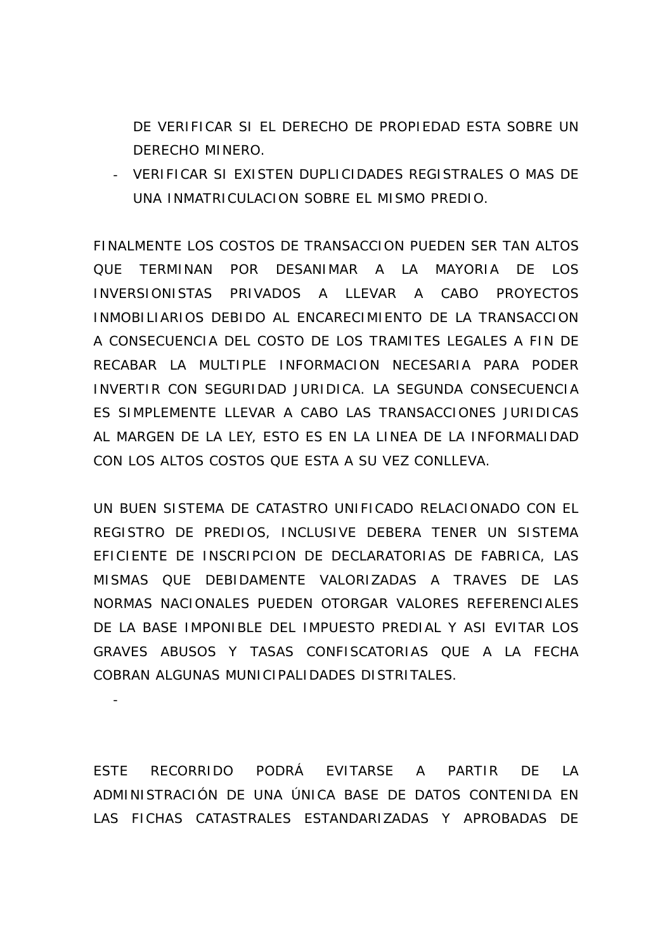DE VERIFICAR SI EL DERECHO DE PROPIEDAD ESTA SOBRE UN DERECHO MINERO.

- VERIFICAR SI EXISTEN DUPLICIDADES REGISTRALES O MAS DE UNA INMATRICULACION SOBRE EL MISMO PREDIO.

FINALMENTE LOS COSTOS DE TRANSACCION PUEDEN SER TAN ALTOS QUE TERMINAN POR DESANIMAR A LA MAYORIA DE LOS INVERSIONISTAS PRIVADOS A LLEVAR A CABO PROYECTOS INMOBILIARIOS DEBIDO AL ENCARECIMIENTO DE LA TRANSACCION A CONSECUENCIA DEL COSTO DE LOS TRAMITES LEGALES A FIN DE RECABAR LA MULTIPLE INFORMACION NECESARIA PARA PODER INVERTIR CON SEGURIDAD JURIDICA. LA SEGUNDA CONSECUENCIA ES SIMPLEMENTE LLEVAR A CABO LAS TRANSACCIONES JURIDICAS AL MARGEN DE LA LEY, ESTO ES EN LA LINEA DE LA INFORMALIDAD CON LOS ALTOS COSTOS QUE ESTA A SU VEZ CONLLEVA.

UN BUEN SISTEMA DE CATASTRO UNIFICADO RELACIONADO CON EL REGISTRO DE PREDIOS, INCLUSIVE DEBERA TENER UN SISTEMA EFICIENTE DE INSCRIPCION DE DECLARATORIAS DE FABRICA, LAS MISMAS QUE DEBIDAMENTE VALORIZADAS A TRAVES DE LAS NORMAS NACIONALES PUEDEN OTORGAR VALORES REFERENCIALES DE LA BASE IMPONIBLE DEL IMPUESTO PREDIAL Y ASI EVITAR LOS GRAVES ABUSOS Y TASAS CONFISCATORIAS QUE A LA FECHA COBRAN ALGUNAS MUNICIPALIDADES DISTRITALES.

ESTE RECORRIDO PODRÁ EVITARSE A PARTIR DE LA ADMINISTRACIÓN DE UNA ÚNICA BASE DE DATOS CONTENIDA EN LAS FICHAS CATASTRALES ESTANDARIZADAS Y APROBADAS DE

-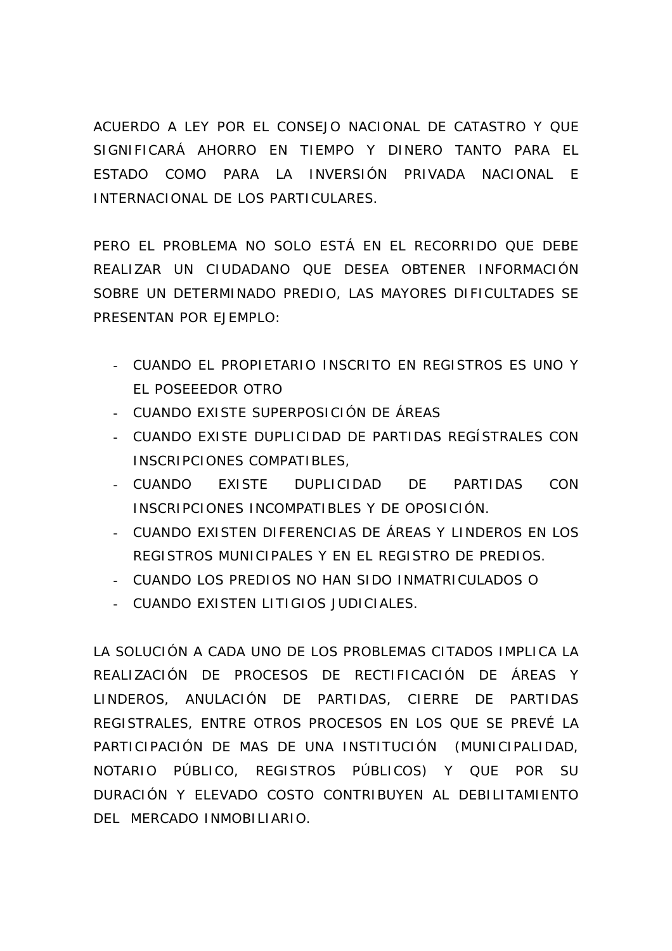ACUERDO A LEY POR EL CONSEJO NACIONAL DE CATASTRO Y QUE SIGNIFICARÁ AHORRO EN TIEMPO Y DINERO TANTO PARA EL ESTADO COMO PARA LA INVERSIÓN PRIVADA NACIONAL E INTERNACIONAL DE LOS PARTICULARES.

PERO EL PROBLEMA NO SOLO ESTÁ EN EL RECORRIDO QUE DEBE REALIZAR UN CIUDADANO QUE DESEA OBTENER INFORMACIÓN SOBRE UN DETERMINADO PREDIO, LAS MAYORES DIFICULTADES SE PRESENTAN POR EJEMPLO:

- CUANDO EL PROPIETARIO INSCRITO EN REGISTROS ES UNO Y EL POSEEEDOR OTRO
- CUANDO EXISTE SUPERPOSICIÓN DE ÁREAS
- CUANDO EXISTE DUPLICIDAD DE PARTIDAS REGÍSTRALES CON INSCRIPCIONES COMPATIBLES,
- CUANDO EXISTE DUPLICIDAD DE PARTIDAS CON INSCRIPCIONES INCOMPATIBLES Y DE OPOSICIÓN.
- CUANDO EXISTEN DIFERENCIAS DE ÁREAS Y LINDEROS EN LOS REGISTROS MUNICIPALES Y EN EL REGISTRO DE PREDIOS.
- CUANDO LOS PREDIOS NO HAN SIDO INMATRICULADOS O
- CUANDO EXISTEN LITIGIOS JUDICIALES.

LA SOLUCIÓN A CADA UNO DE LOS PROBLEMAS CITADOS IMPLICA LA REALIZACIÓN DE PROCESOS DE RECTIFICACIÓN DE ÁREAS Y LINDEROS, ANULACIÓN DE PARTIDAS, CIERRE DE PARTIDAS REGISTRALES, ENTRE OTROS PROCESOS EN LOS QUE SE PREVÉ LA PARTICIPACIÓN DE MAS DE UNA INSTITUCIÓN (MUNICIPALIDAD, NOTARIO PÚBLICO, REGISTROS PÚBLICOS) Y QUE POR SU DURACIÓN Y ELEVADO COSTO CONTRIBUYEN AL DEBILITAMIENTO DEL MERCADO INMOBILIARIO.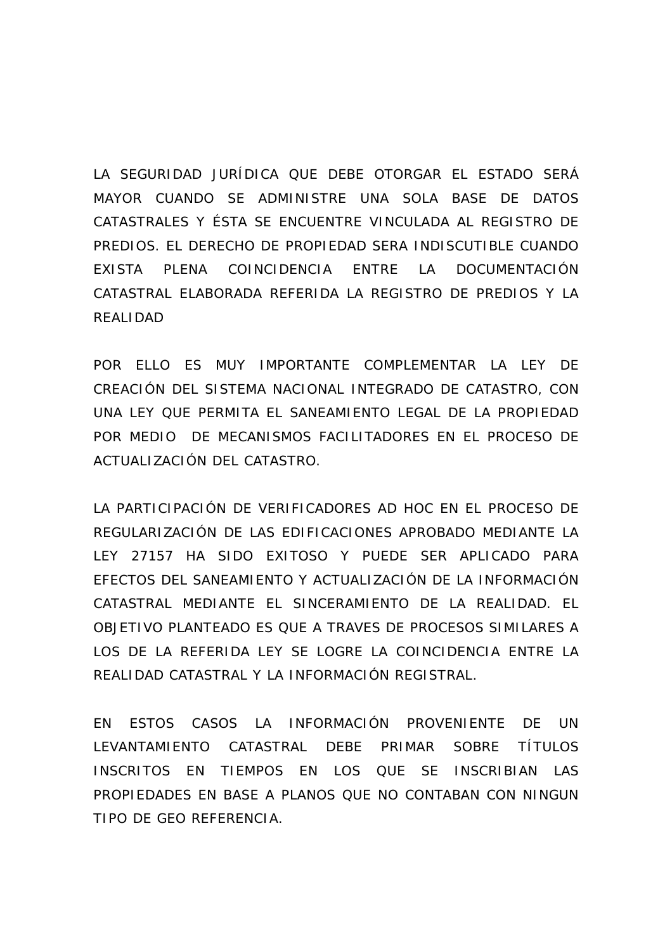LA SEGURIDAD JURÍDICA QUE DEBE OTORGAR EL ESTADO SERÁ MAYOR CUANDO SE ADMINISTRE UNA SOLA BASE DE DATOS CATASTRALES Y ÉSTA SE ENCUENTRE VINCULADA AL REGISTRO DE PREDIOS. EL DERECHO DE PROPIEDAD SERA INDISCUTIBLE CUANDO EXISTA PLENA COINCIDENCIA ENTRE LA DOCUMENTACIÓN CATASTRAL ELABORADA REFERIDA LA REGISTRO DE PREDIOS Y LA REALIDAD

POR ELLO ES MUY IMPORTANTE COMPLEMENTAR LA LEY DE CREACIÓN DEL SISTEMA NACIONAL INTEGRADO DE CATASTRO, CON UNA LEY QUE PERMITA EL SANEAMIENTO LEGAL DE LA PROPIEDAD POR MEDIO DE MECANISMOS FACILITADORES EN EL PROCESO DE ACTUALIZACIÓN DEL CATASTRO.

LA PARTICIPACIÓN DE VERIFICADORES AD HOC EN EL PROCESO DE REGULARIZACIÓN DE LAS EDIFICACIONES APROBADO MEDIANTE LA LEY 27157 HA SIDO EXITOSO Y PUEDE SER APLICADO PARA EFECTOS DEL SANEAMIENTO Y ACTUALIZACIÓN DE LA INFORMACIÓN CATASTRAL MEDIANTE EL SINCERAMIENTO DE LA REALIDAD. EL OBJETIVO PLANTEADO ES QUE A TRAVES DE PROCESOS SIMILARES A LOS DE LA REFERIDA LEY SE LOGRE LA COINCIDENCIA ENTRE LA REALIDAD CATASTRAL Y LA INFORMACIÓN REGISTRAL.

EN ESTOS CASOS LA INFORMACIÓN PROVENIENTE DE UN LEVANTAMIENTO CATASTRAL DEBE PRIMAR SOBRE TÍTULOS INSCRITOS EN TIEMPOS EN LOS QUE SE INSCRIBIAN LAS PROPIEDADES EN BASE A PLANOS QUE NO CONTABAN CON NINGUN TIPO DE GEO REFERENCIA.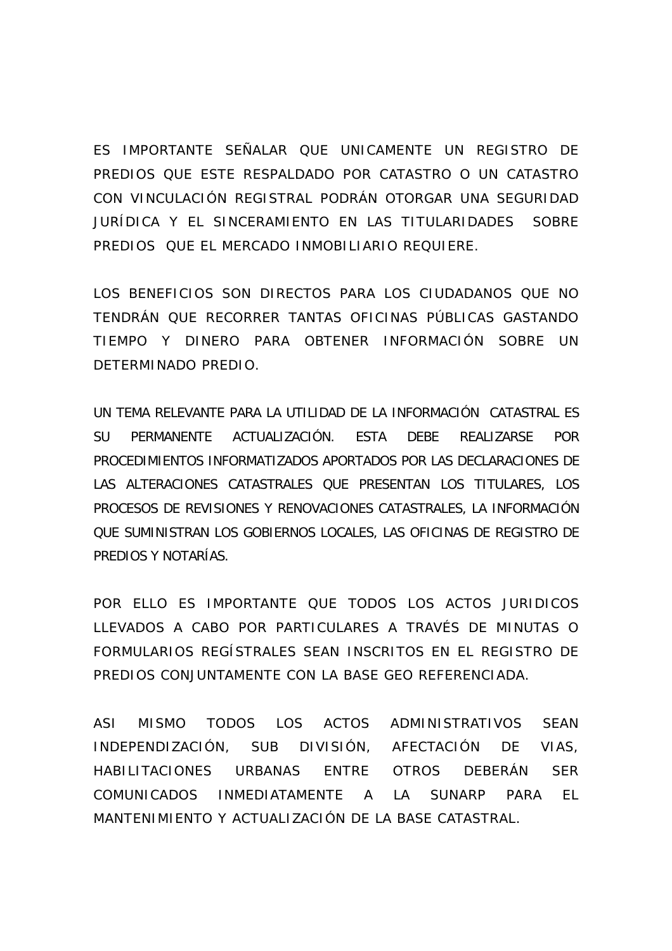ES IMPORTANTE SEÑALAR QUE UNICAMENTE UN REGISTRO DE PREDIOS QUE ESTE RESPALDADO POR CATASTRO O UN CATASTRO CON VINCULACIÓN REGISTRAL PODRÁN OTORGAR UNA SEGURIDAD JURÍDICA Y EL SINCERAMIENTO EN LAS TITULARIDADES SOBRE PREDIOS QUE EL MERCADO INMOBILIARIO REQUIERE.

LOS BENEFICIOS SON DIRECTOS PARA LOS CIUDADANOS QUE NO TENDRÁN QUE RECORRER TANTAS OFICINAS PÚBLICAS GASTANDO TIEMPO Y DINERO PARA OBTENER INFORMACIÓN SOBRE UN DETERMINADO PREDIO.

UN TEMA RELEVANTE PARA LA UTILIDAD DE LA INFORMACIÓN CATASTRAL ES SU PERMANENTE ACTUALIZACIÓN. ESTA DEBE REALIZARSE POR PROCEDIMIENTOS INFORMATIZADOS APORTADOS POR LAS DECLARACIONES DE LAS ALTERACIONES CATASTRALES QUE PRESENTAN LOS TITULARES, LOS PROCESOS DE REVISIONES Y RENOVACIONES CATASTRALES, LA INFORMACIÓN QUE SUMINISTRAN LOS GOBIERNOS LOCALES, LAS OFICINAS DE REGISTRO DE PREDIOS Y NOTARÍAS.

POR ELLO ES IMPORTANTE QUE TODOS LOS ACTOS JURIDICOS LLEVADOS A CABO POR PARTICULARES A TRAVÉS DE MINUTAS O FORMULARIOS REGÍSTRALES SEAN INSCRITOS EN EL REGISTRO DE PREDIOS CONJUNTAMENTE CON LA BASE GEO REFERENCIADA.

ASI MISMO TODOS LOS ACTOS ADMINISTRATIVOS SEAN INDEPENDIZACIÓN, SUB DIVISIÓN, AFECTACIÓN DE VIAS, HABILITACIONES URBANAS ENTRE OTROS DEBERÁN SER COMUNICADOS INMEDIATAMENTE A LA SUNARP PARA EL MANTENIMIENTO Y ACTUALIZACIÓN DE LA BASE CATASTRAL.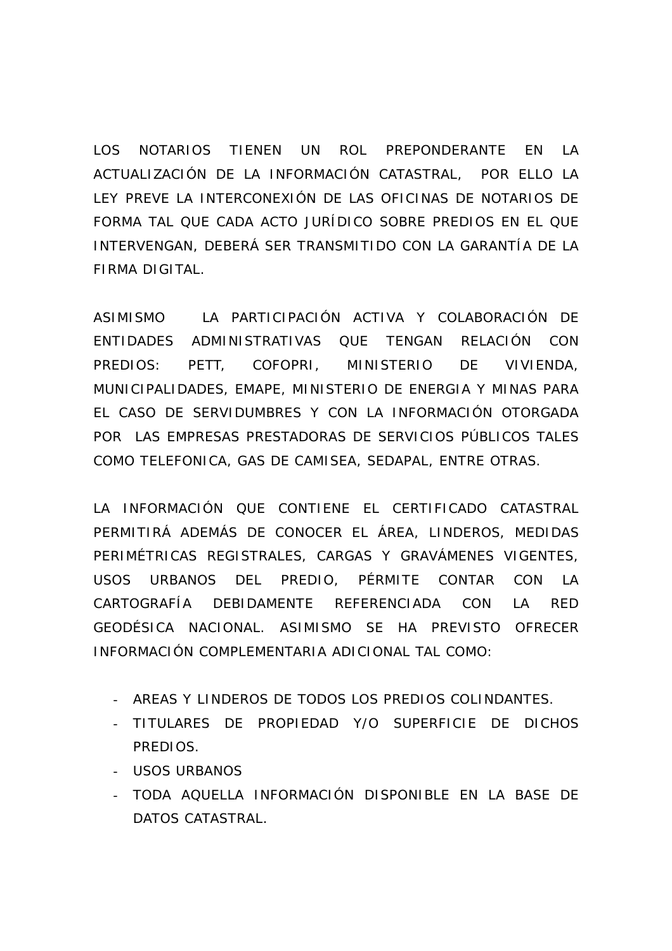LOS NOTARIOS TIENEN UN ROL PREPONDERANTE EN LA ACTUALIZACIÓN DE LA INFORMACIÓN CATASTRAL, POR ELLO LA LEY PREVE LA INTERCONEXIÓN DE LAS OFICINAS DE NOTARIOS DE FORMA TAL QUE CADA ACTO JURÍDICO SOBRE PREDIOS EN EL QUE INTERVENGAN, DEBERÁ SER TRANSMITIDO CON LA GARANTÍA DE LA FIRMA DIGITAL.

ASIMISMO LA PARTICIPACIÓN ACTIVA Y COLABORACIÓN DE ENTIDADES ADMINISTRATIVAS QUE TENGAN RELACIÓN CON PREDIOS: PETT, COFOPRI, MINISTERIO DE VIVIENDA, MUNICIPALIDADES, EMAPE, MINISTERIO DE ENERGIA Y MINAS PARA EL CASO DE SERVIDUMBRES Y CON LA INFORMACIÓN OTORGADA POR LAS EMPRESAS PRESTADORAS DE SERVICIOS PÚBLICOS TALES COMO TELEFONICA, GAS DE CAMISEA, SEDAPAL, ENTRE OTRAS.

LA INFORMACIÓN QUE CONTIENE EL CERTIFICADO CATASTRAL PERMITIRÁ ADEMÁS DE CONOCER EL ÁREA, LINDEROS, MEDIDAS PERIMÉTRICAS REGISTRALES, CARGAS Y GRAVÁMENES VIGENTES, USOS URBANOS DEL PREDIO, PÉRMITE CONTAR CON LA CARTOGRAFÍA DEBIDAMENTE REFERENCIADA CON LA RED GEODÉSICA NACIONAL. ASIMISMO SE HA PREVISTO OFRECER INFORMACIÓN COMPLEMENTARIA ADICIONAL TAL COMO:

- AREAS Y LINDEROS DE TODOS LOS PREDIOS COLINDANTES.
- TITULARES DE PROPIEDAD Y/O SUPERFICIE DE DICHOS PREDIOS.
- USOS URBANOS
- TODA AQUELLA INFORMACIÓN DISPONIBLE EN LA BASE DE DATOS CATASTRAL.